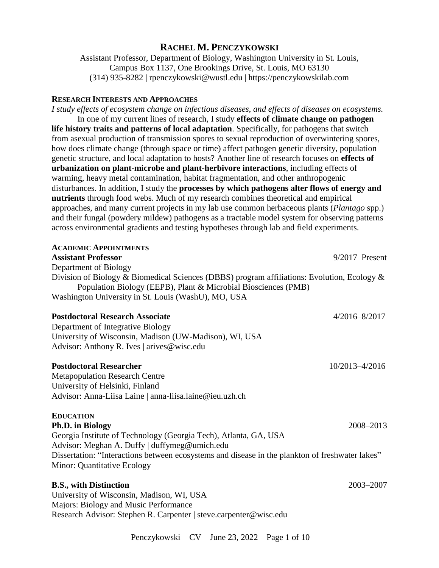# **RACHEL M. PENCZYKOWSKI**

Assistant Professor, Department of Biology, Washington University in St. Louis, Campus Box 1137, One Brookings Drive, St. Louis, MO 63130 (314) 935-8282 | rpenczykowski@wustl.edu | https://penczykowskilab.com

## **RESEARCH INTERESTS AND APPROACHES**

*I study effects of ecosystem change on infectious diseases, and effects of diseases on ecosystems.*  In one of my current lines of research, I study **effects of climate change on pathogen life history traits and patterns of local adaptation**. Specifically, for pathogens that switch from asexual production of transmission spores to sexual reproduction of overwintering spores, how does climate change (through space or time) affect pathogen genetic diversity, population genetic structure, and local adaptation to hosts? Another line of research focuses on **effects of urbanization on plant-microbe and plant-herbivore interactions**, including effects of warming, heavy metal contamination, habitat fragmentation, and other anthropogenic disturbances. In addition, I study the **processes by which pathogens alter flows of energy and nutrients** through food webs. Much of my research combines theoretical and empirical approaches, and many current projects in my lab use common herbaceous plants (*Plantago* spp.) and their fungal (powdery mildew) pathogens as a tractable model system for observing patterns across environmental gradients and testing hypotheses through lab and field experiments.

| <b>ACADEMIC APPOINTMENTS</b>                                                                                                                                  |                   |
|---------------------------------------------------------------------------------------------------------------------------------------------------------------|-------------------|
| <b>Assistant Professor</b>                                                                                                                                    | $9/2017$ -Present |
| Department of Biology                                                                                                                                         |                   |
| Division of Biology & Biomedical Sciences (DBBS) program affiliations: Evolution, Ecology &<br>Population Biology (EEPB), Plant & Microbial Biosciences (PMB) |                   |
| Washington University in St. Louis (WashU), MO, USA                                                                                                           |                   |
| <b>Postdoctoral Research Associate</b>                                                                                                                        | $4/2016 - 8/2017$ |
| Department of Integrative Biology                                                                                                                             |                   |
| University of Wisconsin, Madison (UW-Madison), WI, USA                                                                                                        |                   |
| Advisor: Anthony R. Ives   arives@wisc.edu                                                                                                                    |                   |
| <b>Postdoctoral Researcher</b>                                                                                                                                | 10/2013-4/2016    |
| <b>Metapopulation Research Centre</b>                                                                                                                         |                   |
| University of Helsinki, Finland                                                                                                                               |                   |
| Advisor: Anna-Liisa Laine   anna-liisa.laine@ieu.uzh.ch                                                                                                       |                   |
| <b>EDUCATION</b>                                                                                                                                              |                   |
| Ph.D. in Biology                                                                                                                                              | 2008-2013         |
| Georgia Institute of Technology (Georgia Tech), Atlanta, GA, USA                                                                                              |                   |
| Advisor: Meghan A. Duffy   duffymeg@umich.edu                                                                                                                 |                   |
| Dissertation: "Interactions between ecosystems and disease in the plankton of freshwater lakes"                                                               |                   |
| Minor: Quantitative Ecology                                                                                                                                   |                   |
| <b>B.S., with Distinction</b>                                                                                                                                 | 2003-2007         |
| University of Wisconsin, Madison, WI, USA                                                                                                                     |                   |
| Majors: Biology and Music Performance                                                                                                                         |                   |
| Research Advisor: Stephen R. Carpenter   steve.carpenter@wisc.edu                                                                                             |                   |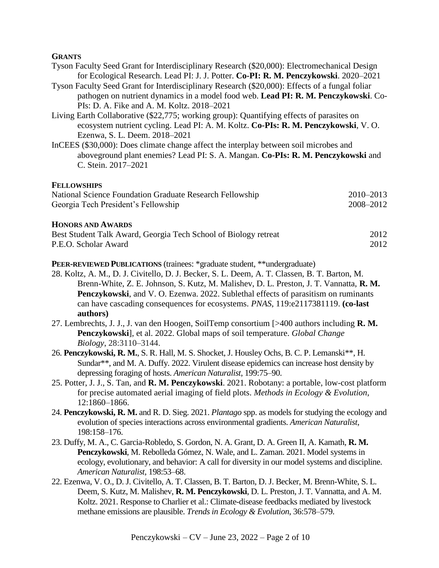## **GRANTS**

|  |  |  | Tyson Faculty Seed Grant for Interdisciplinary Research (\$20,000): Electromechanical Design |  |
|--|--|--|----------------------------------------------------------------------------------------------|--|
|  |  |  | for Ecological Research. Lead PI: J. J. Potter. Co-PI: R. M. Penczykowski. 2020–2021         |  |

- Tyson Faculty Seed Grant for Interdisciplinary Research (\$20,000): Effects of a fungal foliar pathogen on nutrient dynamics in a model food web. **Lead PI: R. M. Penczykowski**. Co-PIs: D. A. Fike and A. M. Koltz. 2018–2021
- Living Earth Collaborative (\$22,775; working group): Quantifying effects of parasites on ecosystem nutrient cycling. Lead PI: A. M. Koltz. **Co-PIs: R. M. Penczykowski**, V. O. Ezenwa, S. L. Deem. 2018–2021
- InCEES (\$30,000): Does climate change affect the interplay between soil microbes and aboveground plant enemies? Lead PI: S. A. Mangan. **Co-PIs: R. M. Penczykowski** and C. Stein. 2017–2021

### **FELLOWSHIPS**

| National Science Foundation Graduate Research Fellowship | $2010 - 2013$ |
|----------------------------------------------------------|---------------|
| Georgia Tech President's Fellowship                      | 2008-2012     |

### **HONORS AND AWARDS**

| Best Student Talk Award, Georgia Tech School of Biology retreat | 2012 |
|-----------------------------------------------------------------|------|
| P.E.O. Scholar Award                                            | 2012 |

## **PEER-REVIEWED PUBLICATIONS** (trainees: \*graduate student, \*\*undergraduate)

- 28. Koltz, A. M., D. J. Civitello, D. J. Becker, S. L. Deem, A. T. Classen, B. T. Barton, M. Brenn-White, Z. E. Johnson, S. Kutz, M. Malishev, D. L. Preston, J. T. Vannatta, **R. M. Penczykowski**, and V. O. Ezenwa. 2022. Sublethal effects of parasitism on ruminants can have cascading consequences for ecosystems. *PNAS*, 119:e2117381119. **(co-last authors)**
- 27. Lembrechts, J. J., J. van den Hoogen, SoilTemp consortium [>400 authors including **R. M. Penczykowski**], et al. 2022. Global maps of soil temperature. *Global Change Biology*, 28:3110–3144.
- 26. **Penczykowski, R. M.**, S. R. Hall, M. S. Shocket, J. Housley Ochs, B. C. P. Lemanski\*\*, H. Sundar\*\*, and M. A. Duffy. 2022. Virulent disease epidemics can increase host density by depressing foraging of hosts. *American Naturalist*, 199:75–90.
- 25. Potter, J. J., S. Tan, and **R. M. Penczykowski**. 2021. Robotany: a portable, low-cost platform for precise automated aerial imaging of field plots. *Methods in Ecology & Evolution*, 12:1860–1866.
- 24. **Penczykowski, R. M.** and R. D. Sieg. 2021. *Plantago* spp. as models for studying the ecology and evolution of species interactions across environmental gradients. *American Naturalist*, 198:158–176.
- 23. Duffy, M. A., C. Garcia-Robledo, S. Gordon, N. A. Grant, D. A. Green II, A. Kamath, **R. M. Penczykowski**, M. Rebolleda Gómez, N. Wale, and L. Zaman. 2021. Model systems in ecology, evolutionary, and behavior: A call for diversity in our model systems and discipline. *American Naturalist*, 198:53–68.
- 22. Ezenwa, V. O., D. J. Civitello, A. T. Classen, B. T. Barton, D. J. Becker, M. Brenn-White, S. L. Deem, S. Kutz, M. Malishev, **R. M. Penczykowski**, D. L. Preston, J. T. Vannatta, and A. M. Koltz. 2021. Response to Charlier et al.: Climate-disease feedbacks mediated by livestock methane emissions are plausible. *Trends in Ecology & Evolution*, 36:578–579.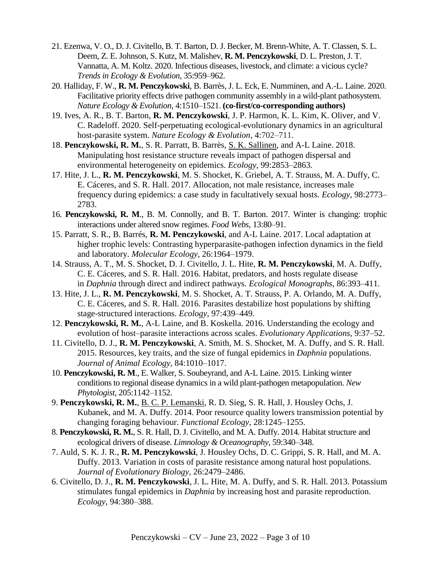- 21. Ezenwa, V. O., D. J. Civitello, B. T. Barton, D. J. Becker, M. Brenn-White, A. T. Classen, S. L. Deem, Z. E. Johnson, S. Kutz, M. Malishev, **R. M. Penczykowski**, D. L. Preston, J. T. Vannatta, A. M. Koltz. 2020. Infectious diseases, livestock, and climate: a vicious cycle? *Trends in Ecology & Evolution*, 35:959–962.
- 20. Halliday, F. W., **R. M. Penczykowski**, B. Barrès, J. L. Eck, E. Numminen, and A.-L. Laine. 2020. Facilitative priority effects drive pathogen community assembly in a wild-plant pathosystem. *Nature Ecology & Evolution,* 4:1510–1521. **(co-first/co-corresponding authors)**
- 19. Ives, A. R., B. T. Barton, **R. M. Penczykowski**, J. P. Harmon, K. L. Kim, K. Oliver, and V. C. Radeloff. 2020. Self-perpetuating ecological-evolutionary dynamics in an agricultural host-parasite system. *Nature Ecology & Evolution,* 4:702–711.
- 18. **Penczykowski, R. M.**, S. R. Parratt, B. Barrès, S. K. Sallinen, and A-L Laine. 2018. Manipulating host resistance structure reveals impact of pathogen dispersal and environmental heterogeneity on epidemics. *Ecology*, 99:2853–2863.
- 17. Hite, J. L., **R. M. Penczykowski**, M. S. Shocket, K. Griebel, A. T. Strauss, M. A. Duffy, C. E. Cáceres, and S. R. Hall. 2017. Allocation, not male resistance, increases male frequency during epidemics: a case study in facultatively sexual hosts. *Ecology*, 98:2773– 2783.
- 16. **Penczykowski, R. M**., B. M. Connolly, and B. T. Barton. 2017. Winter is changing: trophic interactions under altered snow regimes. *Food Webs*, 13:80–91.
- 15. Parratt, S. R., B. Barrés, **R. M. Penczykowski**, and A-L Laine. 2017. Local adaptation at higher trophic levels: Contrasting hyperparasite-pathogen infection dynamics in the field and laboratory. *Molecular Ecology*, 26:1964–1979.
- 14. Strauss, A. T., M. S. Shocket, D. J. Civitello, J. L. Hite, **R. M. Penczykowski**, M. A. Duffy, C. E. Cáceres, and S. R. Hall. 2016. Habitat, predators, and hosts regulate disease in *Daphnia* through direct and indirect pathways. *Ecological Monographs*, 86:393–411.
- 13. Hite, J. L., **R. M. Penczykowski**, M. S. Shocket, A. T. Strauss, P. A. Orlando, M. A. Duffy, C. E. Cáceres, and S. R. Hall. 2016. Parasites destabilize host populations by shifting stage-structured interactions. *Ecology*, 97:439–449.
- 12. **Penczykowski, R. M.**, A-L Laine, and B. Koskella. 2016. Understanding the ecology and evolution of host–parasite interactions across scales. *Evolutionary Applications*, 9:37–52.
- 11. Civitello, D. J., **R. M. Penczykowski**, A. Smith, M. S. Shocket, M. A. Duffy, and S. R. Hall. 2015. Resources, key traits, and the size of fungal epidemics in *Daphnia* populations. *Journal of Animal Ecology*, 84:1010–1017.
- 10. **Penczykowski, R. M**., E. Walker, S. Soubeyrand, and A-L Laine. 2015. Linking winter conditions to regional disease dynamics in a wild plant-pathogen metapopulation. *New Phytologist*, 205:1142–1152.
- 9. **Penczykowski, R. M.**, B. C. P. Lemanski, R. D. Sieg, S. R. Hall, J. Housley Ochs, J. Kubanek, and M. A. Duffy. 2014. Poor resource quality lowers transmission potential by changing foraging behaviour. *Functional Ecology*, 28:1245–1255.
- 8. **Penczykowski, R. M.**, S. R. Hall, D. J. Civitello, and M. A. Duffy. 2014. Habitat structure and ecological drivers of disease. *Limnology & Oceanography*, 59:340–348.
- 7. Auld, S. K. J. R., **R. M. Penczykowski**, J. Housley Ochs, D. C. Grippi, S. R. Hall, and M. A. Duffy. 2013. Variation in costs of parasite resistance among natural host populations. *Journal of Evolutionary Biology*, 26:2479–2486.
- 6. Civitello, D. J., **R. M. Penczykowski**, J. L. Hite, M. A. Duffy, and S. R. Hall. 2013. Potassium stimulates fungal epidemics in *Daphnia* by increasing host and parasite reproduction. *Ecology*, 94:380–388.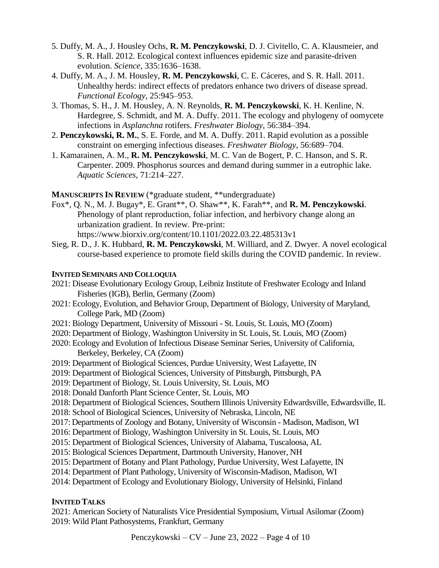- 5. Duffy, M. A., J. Housley Ochs, **R. M. Penczykowski**, D. J. Civitello, C. A. Klausmeier, and S. R. Hall. 2012. Ecological context influences epidemic size and parasite-driven evolution. *Science*, 335:1636–1638.
- 4. Duffy, M. A., J. M. Housley, **R. M. Penczykowski**, C. E. Cáceres, and S. R. Hall. 2011. Unhealthy herds: indirect effects of predators enhance two drivers of disease spread. *Functional Ecology*, 25:945–953.
- 3. Thomas, S. H., J. M. Housley, A. N. Reynolds, **R. M. Penczykowski**, K. H. Kenline, N. Hardegree, S. Schmidt, and M. A. Duffy. 2011. The ecology and phylogeny of oomycete infections in *Asplanchna* rotifers. *Freshwater Biology*, 56:384–394.
- 2. **Penczykowski, R. M.**, S. E. Forde, and M. A. Duffy. 2011. Rapid evolution as a possible constraint on emerging infectious diseases. *Freshwater Biology*, 56:689–704.
- 1. Kamarainen, A. M., **R. M. Penczykowski**, M. C. Van de Bogert, P. C. Hanson, and S. R. Carpenter. 2009. Phosphorus sources and demand during summer in a eutrophic lake. *Aquatic Sciences*, 71:214–227.

## **MANUSCRIPTS IN REVIEW** (\*graduate student, \*\*undergraduate)

- Fox\*, Q. N., M. J. Bugay\*, E. Grant\*\*, O. Shaw\*\*, K. Farah\*\*, and **R. M. Penczykowski**. Phenology of plant reproduction, foliar infection, and herbivory change along an urbanization gradient. In review*.* Pre-print: https://www.biorxiv.org/content/10.1101/2022.03.22.485313v1
- Sieg, R. D., J. K. Hubbard, **R. M. Penczykowski**, M. Williard, and Z. Dwyer. A novel ecological course-based experience to promote field skills during the COVID pandemic. In review.

## **INVITED SEMINARS AND COLLOQUIA**

- 2021: Disease Evolutionary Ecology Group, Leibniz Institute of Freshwater Ecology and Inland Fisheries (IGB), Berlin, Germany (Zoom)
- 2021: Ecology, Evolution, and Behavior Group, Department of Biology, University of Maryland, College Park, MD (Zoom)
- 2021: Biology Department, University of Missouri St. Louis, St. Louis, MO (Zoom)
- 2020: Department of Biology, Washington University in St. Louis, St. Louis, MO (Zoom)
- 2020: Ecology and Evolution of Infectious Disease Seminar Series, University of California, Berkeley, Berkeley, CA (Zoom)
- 2019: Department of Biological Sciences, Purdue University, West Lafayette, IN
- 2019: Department of Biological Sciences, University of Pittsburgh, Pittsburgh, PA
- 2019: Department of Biology, St. Louis University, St. Louis, MO
- 2018: Donald Danforth Plant Science Center, St. Louis, MO
- 2018: Department of Biological Sciences, Southern Illinois University Edwardsville, Edwardsville, IL
- 2018: School of Biological Sciences, University of Nebraska, Lincoln, NE
- 2017: Departments of Zoology and Botany, University of Wisconsin Madison, Madison, WI
- 2016: Department of Biology, Washington University in St. Louis, St. Louis, MO
- 2015: Department of Biological Sciences, University of Alabama, Tuscaloosa, AL
- 2015: Biological Sciences Department, Dartmouth University, Hanover, NH
- 2015: Department of Botany and Plant Pathology, Purdue University, West Lafayette, IN
- 2014: Department of Plant Pathology, University of Wisconsin-Madison, Madison, WI
- 2014: Department of Ecology and Evolutionary Biology, University of Helsinki, Finland

# **INVITED TALKS**

2021: American Society of Naturalists Vice Presidential Symposium, Virtual Asilomar (Zoom) 2019: Wild Plant Pathosystems, Frankfurt, Germany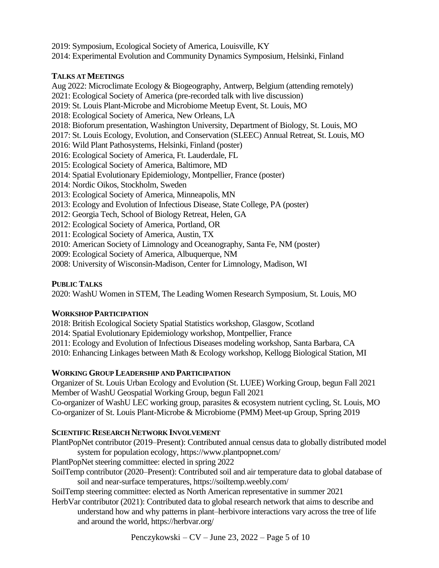2019: Symposium, Ecological Society of America, Louisville, KY

2014: Experimental Evolution and Community Dynamics Symposium, Helsinki, Finland

# **TALKS AT MEETINGS**

Aug 2022: Microclimate Ecology & Biogeography, Antwerp, Belgium (attending remotely) 2021: Ecological Society of America (pre-recorded talk with live discussion) 2019: St. Louis Plant-Microbe and Microbiome Meetup Event, St. Louis, MO 2018: Ecological Society of America, New Orleans, LA 2018: Bioforum presentation, Washington University, Department of Biology, St. Louis, MO 2017: St. Louis Ecology, Evolution, and Conservation (SLEEC) Annual Retreat, St. Louis, MO 2016: Wild Plant Pathosystems, Helsinki, Finland (poster) 2016: Ecological Society of America, Ft. Lauderdale, FL 2015: Ecological Society of America, Baltimore, MD 2014: Spatial Evolutionary Epidemiology, Montpellier, France (poster) 2014: Nordic Oikos, Stockholm, Sweden 2013: Ecological Society of America, Minneapolis, MN 2013: Ecology and Evolution of Infectious Disease, State College, PA (poster) 2012: Georgia Tech, School of Biology Retreat, Helen, GA 2012: Ecological Society of America, Portland, OR 2011: Ecological Society of America, Austin, TX 2010: American Society of Limnology and Oceanography, Santa Fe, NM (poster) 2009: Ecological Society of America, Albuquerque, NM

2008: University of Wisconsin-Madison, Center for Limnology, Madison, WI

# **PUBLIC TALKS**

2020: WashU Women in STEM, The Leading Women Research Symposium, St. Louis, MO

# **WORKSHOP PARTICIPATION**

2018: British Ecological Society Spatial Statistics workshop, Glasgow, Scotland

2014: Spatial Evolutionary Epidemiology workshop, Montpellier, France

2011: Ecology and Evolution of Infectious Diseases modeling workshop, Santa Barbara, CA

2010: Enhancing Linkages between Math & Ecology workshop, Kellogg Biological Station, MI

# **WORKING GROUP LEADERSHIP AND PARTICIPATION**

Organizer of St. Louis Urban Ecology and Evolution (St. LUEE) Working Group, begun Fall 2021 Member of WashU Geospatial Working Group, begun Fall 2021

Co-organizer of WashU LEC working group, parasites & ecosystem nutrient cycling, St. Louis, MO Co-organizer of St. Louis Plant-Microbe & Microbiome (PMM) Meet-up Group, Spring 2019

# **SCIENTIFIC RESEARCH NETWORK INVOLVEMENT**

PlantPopNet contributor (2019–Present): Contributed annual census data to globally distributed model system for population ecology, https://www.plantpopnet.com/

PlantPopNet steering committee: elected in spring 2022

SoilTemp contributor (2020–Present): Contributed soil and air temperature data to global database of soil and near-surface temperatures, https://soiltemp.weebly.com/

SoilTemp steering committee: elected as North American representative in summer 2021

HerbVar contributor (2021): Contributed data to global research network that aims to describe and understand how and why patterns in plant–herbivore interactions vary across the tree of life and around the world, https://herbvar.org/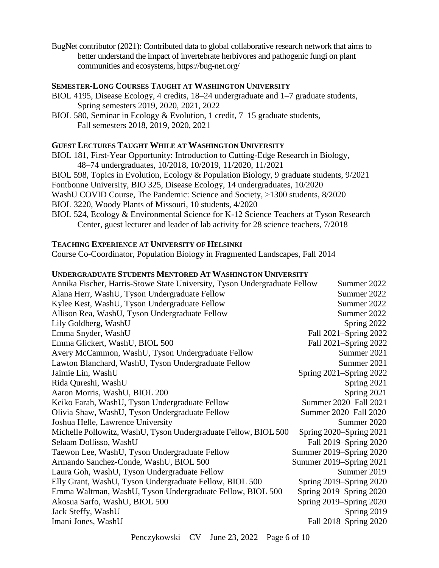BugNet contributor (2021): Contributed data to global collaborative research network that aims to better understand the impact of invertebrate herbivores and pathogenic fungi on plant communities and ecosystems, https://bug-net.org/

### **SEMESTER-LONG COURSES TAUGHT AT WASHINGTON UNIVERSITY**

- BIOL 4195, Disease Ecology, 4 credits, 18–24 undergraduate and 1–7 graduate students, Spring semesters 2019, 2020, 2021, 2022
- BIOL 580, Seminar in Ecology & Evolution, 1 credit, 7–15 graduate students, Fall semesters 2018, 2019, 2020, 2021

## **GUEST LECTURES TAUGHT WHILE AT WASHINGTON UNIVERSITY**

BIOL 181, First-Year Opportunity: Introduction to Cutting-Edge Research in Biology, 48–74 undergraduates, 10/2018, 10/2019, 11/2020, 11/2021 BIOL 598, Topics in Evolution, Ecology & Population Biology, 9 graduate students, 9/2021 Fontbonne University, BIO 325, Disease Ecology, 14 undergraduates, 10/2020 WashU COVID Course, The Pandemic: Science and Society, >1300 students, 8/2020

- BIOL 3220, Woody Plants of Missouri, 10 students, 4/2020
- BIOL 524, Ecology & Environmental Science for K-12 Science Teachers at Tyson Research Center, guest lecturer and leader of lab activity for 28 science teachers, 7/2018

## **TEACHING EXPERIENCE AT UNIVERSITY OF HELSINKI**

Course Co-Coordinator, Population Biology in Fragmented Landscapes, Fall 2014

## **UNDERGRADUATE STUDENTS MENTORED AT WASHINGTON UNIVERSITY**

| Annika Fischer, Harris-Stowe State University, Tyson Undergraduate Fellow | Summer 2022             |
|---------------------------------------------------------------------------|-------------------------|
| Alana Herr, WashU, Tyson Undergraduate Fellow                             | Summer 2022             |
| Kylee Kest, WashU, Tyson Undergraduate Fellow                             | Summer 2022             |
| Allison Rea, WashU, Tyson Undergraduate Fellow                            | Summer 2022             |
| Lily Goldberg, WashU                                                      | Spring 2022             |
| Emma Snyder, WashU                                                        | Fall 2021-Spring 2022   |
| Emma Glickert, WashU, BIOL 500                                            | Fall 2021-Spring 2022   |
| Avery McCammon, WashU, Tyson Undergraduate Fellow                         | Summer 2021             |
| Lawton Blanchard, WashU, Tyson Undergraduate Fellow                       | Summer 2021             |
| Jaimie Lin, WashU                                                         | Spring 2021-Spring 2022 |
| Rida Qureshi, WashU                                                       | Spring 2021             |
| Aaron Morris, WashU, BIOL 200                                             | Spring 2021             |
| Keiko Farah, WashU, Tyson Undergraduate Fellow                            | Summer 2020-Fall 2021   |
| Olivia Shaw, WashU, Tyson Undergraduate Fellow                            | Summer 2020-Fall 2020   |
| Joshua Helle, Lawrence University                                         | Summer 2020             |
| Michelle Pollowitz, WashU, Tyson Undergraduate Fellow, BIOL 500           | Spring 2020–Spring 2021 |
| Selaam Dollisso, WashU                                                    | Fall 2019–Spring 2020   |
| Taewon Lee, WashU, Tyson Undergraduate Fellow                             | Summer 2019–Spring 2020 |
| Armando Sanchez-Conde, WashU, BIOL 500                                    | Summer 2019–Spring 2021 |
| Laura Goh, WashU, Tyson Undergraduate Fellow                              | Summer 2019             |
| Elly Grant, WashU, Tyson Undergraduate Fellow, BIOL 500                   | Spring 2019–Spring 2020 |
| Emma Waltman, WashU, Tyson Undergraduate Fellow, BIOL 500                 | Spring 2019–Spring 2020 |
| Akosua Sarfo, WashU, BIOL 500                                             | Spring 2019–Spring 2020 |
| Jack Steffy, WashU                                                        | Spring 2019             |
| Imani Jones, WashU                                                        | Fall 2018-Spring 2020   |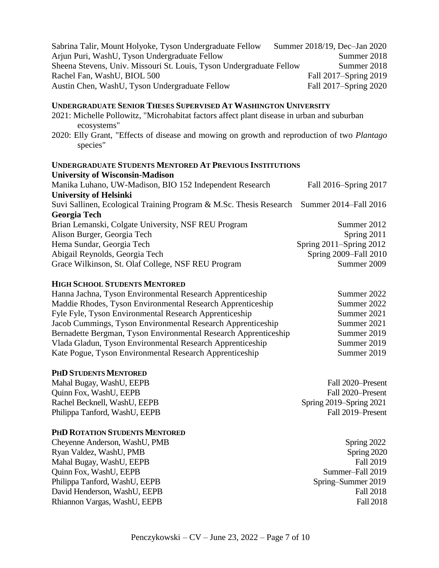| Sabrina Talir, Mount Holyoke, Tyson Undergraduate Fellow             | Summer 2018/19, Dec-Jan 2020 |
|----------------------------------------------------------------------|------------------------------|
| Arjun Puri, WashU, Tyson Undergraduate Fellow                        | Summer 2018                  |
| Sheena Stevens, Univ. Missouri St. Louis, Tyson Undergraduate Fellow | Summer 2018                  |
| Rachel Fan, WashU, BIOL 500                                          | Fall 2017–Spring 2019        |
| Austin Chen, WashU, Tyson Undergraduate Fellow                       | Fall 2017–Spring 2020        |

## **UNDERGRADUATE SENIOR THESES SUPERVISED AT WASHINGTON UNIVERSITY**

- 2021: Michelle Pollowitz, "Microhabitat factors affect plant disease in urban and suburban ecosystems"
- 2020: Elly Grant, "Effects of disease and mowing on growth and reproduction of two *Plantago* species"

#### **UNDERGRADUATE STUDENTS MENTORED AT PREVIOUS INSTITUTIONS University of Wisconsin-Madison**

| Manika Luhano, UW-Madison, BIO 152 Independent Research                                  | Fall 2016–Spring 2017        |
|------------------------------------------------------------------------------------------|------------------------------|
| <b>University of Helsinki</b>                                                            |                              |
| Suvi Sallinen, Ecological Training Program & M.Sc. Thesis Research Summer 2014–Fall 2016 |                              |
| <b>Georgia Tech</b>                                                                      |                              |
| Brian Lemanski, Colgate University, NSF REU Program                                      | Summer 2012                  |
| Alison Burger, Georgia Tech                                                              | Spring 2011                  |
| Hema Sundar, Georgia Tech                                                                | Spring $2011$ –Spring $2012$ |
| Abigail Reynolds, Georgia Tech                                                           | Spring 2009–Fall 2010        |
| Grace Wilkinson, St. Olaf College, NSF REU Program                                       | Summer 2009                  |

### **HIGH SCHOOL STUDENTS MENTORED**

| Hanna Jachna, Tyson Environmental Research Apprenticeship       | Summer 2022 |
|-----------------------------------------------------------------|-------------|
| Maddie Rhodes, Tyson Environmental Research Apprenticeship      | Summer 2022 |
| Fyle Fyle, Tyson Environmental Research Apprenticeship          | Summer 2021 |
| Jacob Cummings, Tyson Environmental Research Apprenticeship     | Summer 2021 |
| Bernadette Bergman, Tyson Environmental Research Apprenticeship | Summer 2019 |
| Vlada Gladun, Tyson Environmental Research Apprenticeship       | Summer 2019 |
| Kate Pogue, Tyson Environmental Research Apprenticeship         | Summer 2019 |

### **PHD STUDENTS MENTORED**

Mahal Bugay, WashU, EEPB Fall 2020–Present Ouinn Fox, WashU, EEPB Fall 2020–Present Rachel Becknell, WashU, EEPB Spring 2019–Spring 2021 Philippa Tanford, WashU, EEPB Fall 2019–Present

# **PHD ROTATION STUDENTS MENTORED**

Cheyenne Anderson, WashU, PMB Spring 2022 Ryan Valdez, WashU, PMB Spring 2020 Mahal Bugay, WashU, EEPB Fall 2019 Quinn Fox, WashU, EEPB Summer–Fall 2019 Philippa Tanford, WashU, EEPB Spring–Summer 2019 David Henderson, WashU, EEPB Fall 2018 Rhiannon Vargas, WashU, EEPB Fall 2018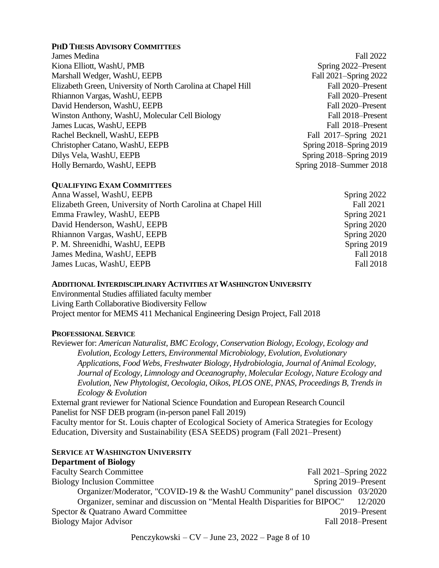### **PHD THESIS ADVISORY COMMITTEES**

James Medina Fall 2022 Kiona Elliott, WashU, PMB Spring 2022–Present Marshall Wedger, WashU, EEPB Fall 2021–Spring 2022 Elizabeth Green, University of North Carolina at Chapel Hill Fall 2020–Present Rhiannon Vargas, WashU, EEPB Fall 2020–Present David Henderson, WashU, EEPB Fall 2020–Present Winston Anthony, WashU, Molecular Cell Biology Fall 2018–Present James Lucas, WashU, EEPB Fall 2018–Present Rachel Becknell, WashU, EEPB Fall 2017–Spring 2021 Christopher Catano, WashU, EEPB Spring 2018–Spring 2019 Dilys Vela, WashU, EEPB Spring 2018–Spring 2019 Holly Bernardo, WashU, EEPB Spring 2018–Summer 2018

## **QUALIFYING EXAM COMMITTEES**

| Anna Wassel, WashU, EEPB                                     | Spring 2022      |
|--------------------------------------------------------------|------------------|
| Elizabeth Green, University of North Carolina at Chapel Hill | <b>Fall 2021</b> |
| Emma Frawley, WashU, EEPB                                    | Spring 2021      |
| David Henderson, WashU, EEPB                                 | Spring 2020      |
| Rhiannon Vargas, WashU, EEPB                                 | Spring 2020      |
| P. M. Shreenidhi, WashU, EEPB                                | Spring 2019      |
| James Medina, WashU, EEPB                                    | Fall 2018        |
| James Lucas, WashU, EEPB                                     | Fall 2018        |
|                                                              |                  |

## **ADDITIONAL INTERDISCIPLINARY ACTIVITIES AT WASHINGTON UNIVERSITY**

Environmental Studies affiliated faculty member Living Earth Collaborative Biodiversity Fellow Project mentor for MEMS 411 Mechanical Engineering Design Project, Fall 2018

## **PROFESSIONAL SERVICE**

Reviewer for: *American Naturalist*, *BMC Ecology*, *Conservation Biology*, *Ecology*, *Ecology and Evolution*, *Ecology Letters*, *Environmental Microbiology*, *Evolution*, *Evolutionary Applications*, *Food Webs*, *Freshwater Biology*, *Hydrobiologia*, *Journal of Animal Ecology*, *Journal of Ecology*, *Limnology and Oceanography*, *Molecular Ecology*, *Nature Ecology and Evolution*, *New Phytologist*, *Oecologia*, *Oikos*, *PLOS ONE*, *PNAS, Proceedings B, Trends in Ecology & Evolution*

External grant reviewer for National Science Foundation and European Research Council Panelist for NSF DEB program (in-person panel Fall 2019) Faculty mentor for St. Louis chapter of Ecological Society of America Strategies for Ecology Education, Diversity and Sustainability (ESA SEEDS) program (Fall 2021–Present)

# **SERVICE AT WASHINGTON UNIVERSITY**

# **Department of Biology** Faculty Search Committee Fall 2021–Spring 2022 Biology Inclusion Committee Spring 2019–Present Organizer/Moderator, "COVID-19 & the WashU Community" panel discussion 03/2020 Organizer, seminar and discussion on "Mental Health Disparities for BIPOC" 12/2020

Spector & Quatrano Award Committee 2019–Present Biology Major Advisor Fall 2018–Present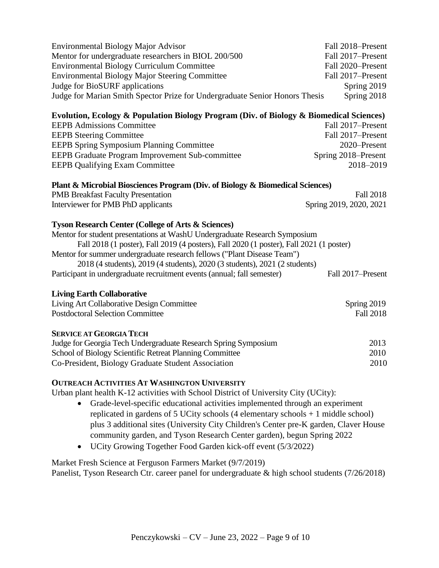| <b>Environmental Biology Major Advisor</b><br>Mentor for undergraduate researchers in BIOL 200/500<br><b>Environmental Biology Curriculum Committee</b><br>Environmental Biology Major Steering Committee<br>Judge for BioSURF applications | Fall 2018–Present<br>Fall 2017-Present<br>Fall 2020-Present<br>Fall 2017-Present<br>Spring 2019 |  |  |
|---------------------------------------------------------------------------------------------------------------------------------------------------------------------------------------------------------------------------------------------|-------------------------------------------------------------------------------------------------|--|--|
| Judge for Marian Smith Spector Prize for Undergraduate Senior Honors Thesis                                                                                                                                                                 | Spring 2018                                                                                     |  |  |
| Evolution, Ecology & Population Biology Program (Div. of Biology & Biomedical Sciences)                                                                                                                                                     |                                                                                                 |  |  |
| <b>EEPB Admissions Committee</b>                                                                                                                                                                                                            | Fall 2017-Present                                                                               |  |  |
| <b>EEPB Steering Committee</b>                                                                                                                                                                                                              | Fall 2017-Present                                                                               |  |  |
| <b>EEPB Spring Symposium Planning Committee</b>                                                                                                                                                                                             | 2020-Present                                                                                    |  |  |
| EEPB Graduate Program Improvement Sub-committee                                                                                                                                                                                             | Spring 2018-Present                                                                             |  |  |
| <b>EEPB Qualifying Exam Committee</b>                                                                                                                                                                                                       | 2018-2019                                                                                       |  |  |
| Plant & Microbial Biosciences Program (Div. of Biology & Biomedical Sciences)                                                                                                                                                               |                                                                                                 |  |  |
| <b>PMB</b> Breakfast Faculty Presentation                                                                                                                                                                                                   | <b>Fall 2018</b>                                                                                |  |  |
| Interviewer for PMB PhD applicants                                                                                                                                                                                                          | Spring 2019, 2020, 2021                                                                         |  |  |
|                                                                                                                                                                                                                                             |                                                                                                 |  |  |
| <b>Tyson Research Center (College of Arts &amp; Sciences)</b>                                                                                                                                                                               |                                                                                                 |  |  |
| Mentor for student presentations at WashU Undergraduate Research Symposium                                                                                                                                                                  |                                                                                                 |  |  |
| Fall 2018 (1 poster), Fall 2019 (4 posters), Fall 2020 (1 poster), Fall 2021 (1 poster)                                                                                                                                                     |                                                                                                 |  |  |
| Mentor for summer undergraduate research fellows ("Plant Disease Team")                                                                                                                                                                     |                                                                                                 |  |  |
| 2018 (4 students), 2019 (4 students), 2020 (3 students), 2021 (2 students)                                                                                                                                                                  |                                                                                                 |  |  |
| Participant in undergraduate recruitment events (annual; fall semester)                                                                                                                                                                     | Fall 2017-Present                                                                               |  |  |
|                                                                                                                                                                                                                                             |                                                                                                 |  |  |
| <b>Living Earth Collaborative</b>                                                                                                                                                                                                           |                                                                                                 |  |  |
| Living Art Collaborative Design Committee                                                                                                                                                                                                   | Spring 2019                                                                                     |  |  |
| <b>Postdoctoral Selection Committee</b>                                                                                                                                                                                                     | <b>Fall 2018</b>                                                                                |  |  |
| <b>SERVICE AT GEORGIA TECH</b>                                                                                                                                                                                                              |                                                                                                 |  |  |
| Judge for Georgia Tech Undergraduate Research Spring Symposium                                                                                                                                                                              | 2013                                                                                            |  |  |
| School of Biology Scientific Retreat Planning Committee                                                                                                                                                                                     | 2010                                                                                            |  |  |
| Co-President, Biology Graduate Student Association                                                                                                                                                                                          | 2010                                                                                            |  |  |
|                                                                                                                                                                                                                                             |                                                                                                 |  |  |

## **OUTREACH ACTIVITIES AT WASHINGTON UNIVERSITY**

Urban plant health K-12 activities with School District of University City (UCity):

- Grade-level-specific educational activities implemented through an experiment replicated in gardens of 5 UCity schools  $(4$  elementary schools  $+ 1$  middle school) plus 3 additional sites (University City Children's Center pre-K garden, Claver House community garden, and Tyson Research Center garden), begun Spring 2022
- UCity Growing Together Food Garden kick-off event (5/3/2022)

Market Fresh Science at Ferguson Farmers Market (9/7/2019) Panelist, Tyson Research Ctr. career panel for undergraduate & high school students (7/26/2018)